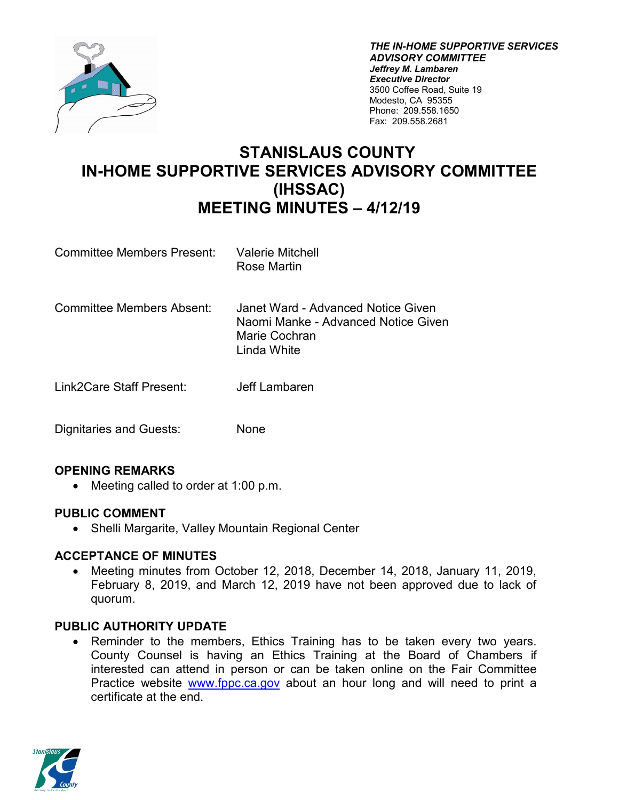

*THE IN-HOME SUPPORTIVE SERVICES ADVISORY COMMITTEE Jeffrey M. Lambaren Executive Director* 3500 Coffee Road, Suite 19 Modesto, CA 95355 Phone: 209.558.1650 Fax: 209.558.2681

# **STANISLAUS COUNTY IN-HOME SUPPORTIVE SERVICES ADVISORY COMMITTEE (IHSSAC) MEETING MINUTES – 4/12/19**

- Committee Members Present: Valerie Mitchell Rose Martin
- Committee Members Absent: Janet Ward Advanced Notice Given Naomi Manke - Advanced Notice Given Marie Cochran Linda White
- Link2Care Staff Present: Jeff Lambaren
- Dignitaries and Guests: None

# **OPENING REMARKS**

• Meeting called to order at 1:00 p.m.

### **PUBLIC COMMENT**

• Shelli Margarite, Valley Mountain Regional Center

### **ACCEPTANCE OF MINUTES**

• Meeting minutes from October 12, 2018, December 14, 2018, January 11, 2019, February 8, 2019, and March 12, 2019 have not been approved due to lack of quorum.

### **PUBLIC AUTHORITY UPDATE**

Reminder to the members, Ethics Training has to be taken every two years. County Counsel is having an Ethics Training at the Board of Chambers if interested can attend in person or can be taken online on the Fair Committee Practice website [www.fppc.ca.gov](http://www.fppc.ca.gov/) about an hour long and will need to print a certificate at the end.

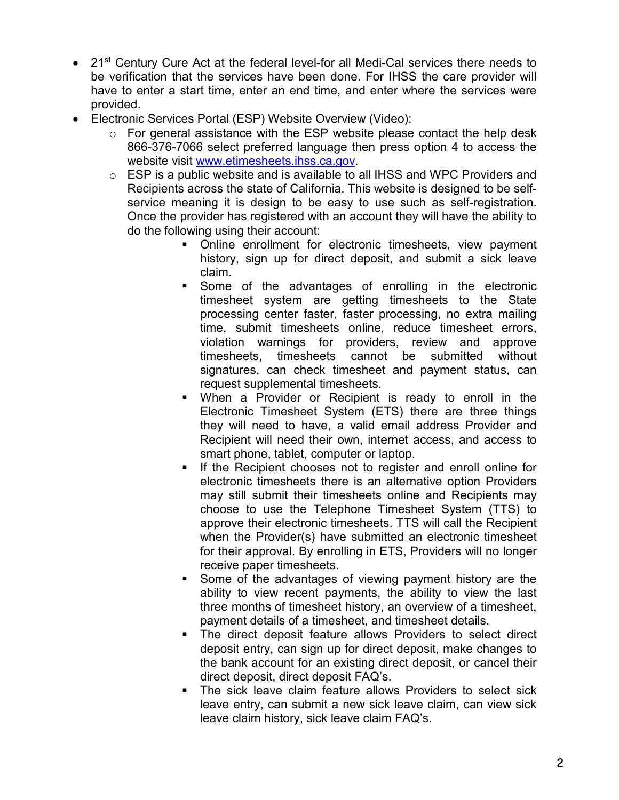- 21<sup>st</sup> Century Cure Act at the federal level-for all Medi-Cal services there needs to be verification that the services have been done. For IHSS the care provider will have to enter a start time, enter an end time, and enter where the services were provided.
- Electronic Services Portal (ESP) Website Overview (Video):
	- o For general assistance with the ESP website please contact the help desk 866-376-7066 select preferred language then press option 4 to access the website visit [www.etimesheets.ihss.ca.gov.](http://www.etimesheets.ihss.ca.gov/)
	- o ESP is a public website and is available to all IHSS and WPC Providers and Recipients across the state of California. This website is designed to be selfservice meaning it is design to be easy to use such as self-registration. Once the provider has registered with an account they will have the ability to do the following using their account:
		- **•** Online enrollment for electronic timesheets, view payment history, sign up for direct deposit, and submit a sick leave claim.
		- Some of the advantages of enrolling in the electronic timesheet system are getting timesheets to the State processing center faster, faster processing, no extra mailing time, submit timesheets online, reduce timesheet errors, violation warnings for providers, review and approve timesheets, timesheets cannot be submitted without signatures, can check timesheet and payment status, can request supplemental timesheets.
		- When a Provider or Recipient is ready to enroll in the Electronic Timesheet System (ETS) there are three things they will need to have, a valid email address Provider and Recipient will need their own, internet access, and access to smart phone, tablet, computer or laptop.
		- If the Recipient chooses not to register and enroll online for electronic timesheets there is an alternative option Providers may still submit their timesheets online and Recipients may choose to use the Telephone Timesheet System (TTS) to approve their electronic timesheets. TTS will call the Recipient when the Provider(s) have submitted an electronic timesheet for their approval. By enrolling in ETS, Providers will no longer receive paper timesheets.
		- Some of the advantages of viewing payment history are the ability to view recent payments, the ability to view the last three months of timesheet history, an overview of a timesheet, payment details of a timesheet, and timesheet details.
		- The direct deposit feature allows Providers to select direct deposit entry, can sign up for direct deposit, make changes to the bank account for an existing direct deposit, or cancel their direct deposit, direct deposit FAQ's.
		- **The sick leave claim feature allows Providers to select sick** leave entry, can submit a new sick leave claim, can view sick leave claim history, sick leave claim FAQ's.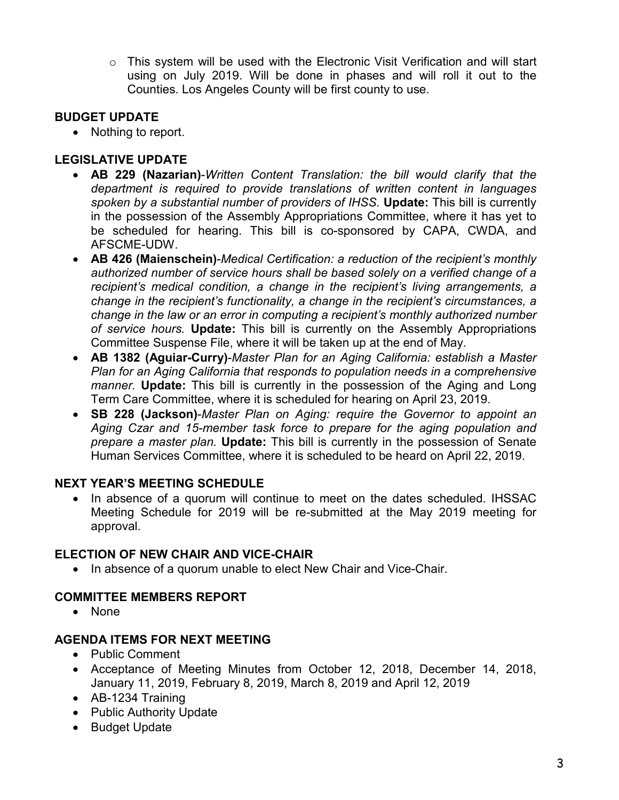o This system will be used with the Electronic Visit Verification and will start using on July 2019. Will be done in phases and will roll it out to the Counties. Los Angeles County will be first county to use.

# **BUDGET UPDATE**

• Nothing to report.

# **LEGISLATIVE UPDATE**

- **AB 229 (Nazarian)**-*Written Content Translation: the bill would clarify that the department is required to provide translations of written content in languages spoken by a substantial number of providers of IHSS.* **Update:** This bill is currently in the possession of the Assembly Appropriations Committee, where it has yet to be scheduled for hearing. This bill is co-sponsored by CAPA, CWDA, and AFSCME-UDW.
- **AB 426 (Maienschein)**-*Medical Certification: a reduction of the recipient's monthly authorized number of service hours shall be based solely on a verified change of a recipient's medical condition, a change in the recipient's living arrangements, a change in the recipient's functionality, a change in the recipient's circumstances, a change in the law or an error in computing a recipient's monthly authorized number of service hours.* **Update:** This bill is currently on the Assembly Appropriations Committee Suspense File, where it will be taken up at the end of May.
- **AB 1382 (Aguiar-Curry)**-*Master Plan for an Aging California: establish a Master Plan for an Aging California that responds to population needs in a comprehensive manner.* **Update:** This bill is currently in the possession of the Aging and Long Term Care Committee, where it is scheduled for hearing on April 23, 2019.
- **SB 228 (Jackson)**-*Master Plan on Aging: require the Governor to appoint an Aging Czar and 15-member task force to prepare for the aging population and prepare a master plan.* **Update:** This bill is currently in the possession of Senate Human Services Committee, where it is scheduled to be heard on April 22, 2019.

# **NEXT YEAR'S MEETING SCHEDULE**

• In absence of a quorum will continue to meet on the dates scheduled. IHSSAC Meeting Schedule for 2019 will be re-submitted at the May 2019 meeting for approval.

# **ELECTION OF NEW CHAIR AND VICE-CHAIR**

• In absence of a quorum unable to elect New Chair and Vice-Chair.

# **COMMITTEE MEMBERS REPORT**

• None

# **AGENDA ITEMS FOR NEXT MEETING**

- Public Comment
- Acceptance of Meeting Minutes from October 12, 2018, December 14, 2018, January 11, 2019, February 8, 2019, March 8, 2019 and April 12, 2019
- AB-1234 Training
- Public Authority Update
- Budget Update